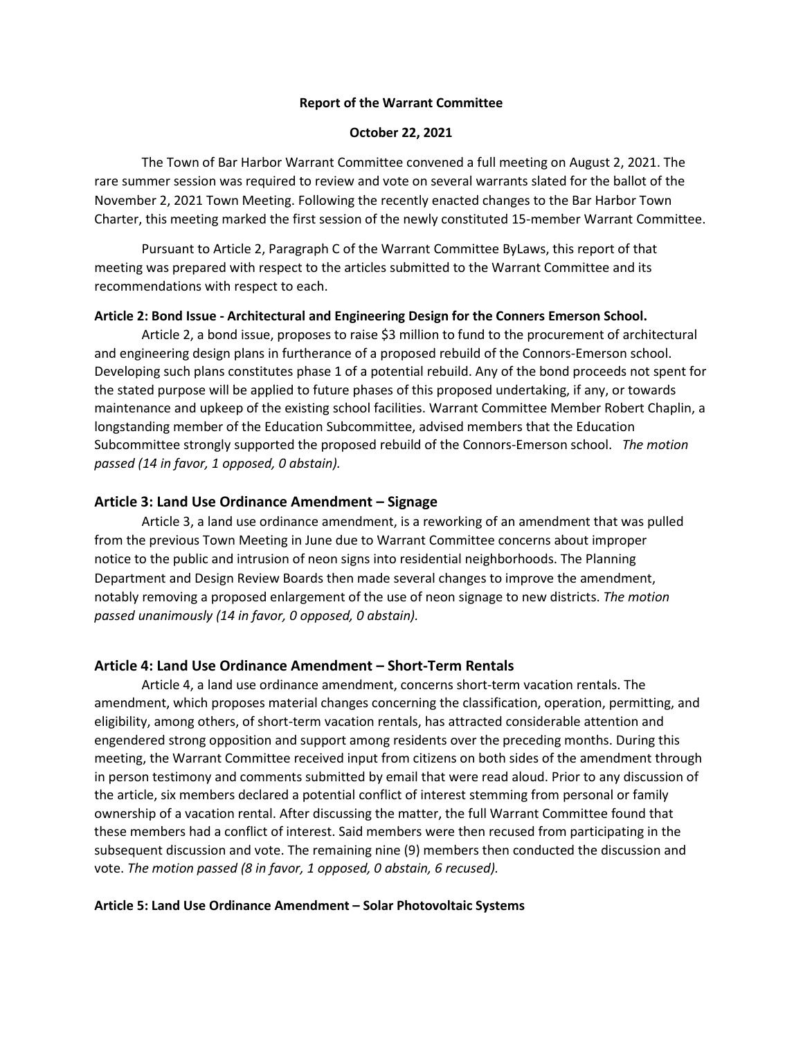### **Report of the Warrant Committee**

### **October 22, 2021**

The Town of Bar Harbor Warrant Committee convened a full meeting on August 2, 2021. The rare summer session was required to review and vote on several warrants slated for the ballot of the November 2, 2021 Town Meeting. Following the recently enacted changes to the Bar Harbor Town Charter, this meeting marked the first session of the newly constituted 15-member Warrant Committee.

Pursuant to Article 2, Paragraph C of the Warrant Committee ByLaws, this report of that meeting was prepared with respect to the articles submitted to the Warrant Committee and its recommendations with respect to each.

## **Article 2: Bond Issue - Architectural and Engineering Design for the Conners Emerson School.**

Article 2, a bond issue, proposes to raise \$3 million to fund to the procurement of architectural and engineering design plans in furtherance of a proposed rebuild of the Connors-Emerson school. Developing such plans constitutes phase 1 of a potential rebuild. Any of the bond proceeds not spent for the stated purpose will be applied to future phases of this proposed undertaking, if any, or towards maintenance and upkeep of the existing school facilities. Warrant Committee Member Robert Chaplin, a longstanding member of the Education Subcommittee, advised members that the Education Subcommittee strongly supported the proposed rebuild of the Connors-Emerson school. *The motion passed (14 in favor, 1 opposed, 0 abstain).* 

## **Article 3: Land Use Ordinance Amendment – Signage**

Article 3, a land use ordinance amendment, is a reworking of an amendment that was pulled from the previous Town Meeting in June due to Warrant Committee concerns about improper notice to the public and intrusion of neon signs into residential neighborhoods. The Planning Department and Design Review Boards then made several changes to improve the amendment, notably removing a proposed enlargement of the use of neon signage to new districts. *The motion passed unanimously (14 in favor, 0 opposed, 0 abstain).* 

# **Article 4: Land Use Ordinance Amendment – Short-Term Rentals**

Article 4, a land use ordinance amendment, concerns short-term vacation rentals. The amendment, which proposes material changes concerning the classification, operation, permitting, and eligibility, among others, of short-term vacation rentals, has attracted considerable attention and engendered strong opposition and support among residents over the preceding months. During this meeting, the Warrant Committee received input from citizens on both sides of the amendment through in person testimony and comments submitted by email that were read aloud. Prior to any discussion of the article, six members declared a potential conflict of interest stemming from personal or family ownership of a vacation rental. After discussing the matter, the full Warrant Committee found that these members had a conflict of interest. Said members were then recused from participating in the subsequent discussion and vote. The remaining nine (9) members then conducted the discussion and vote. *The motion passed (8 in favor, 1 opposed, 0 abstain, 6 recused).* 

#### **Article 5: Land Use Ordinance Amendment – Solar Photovoltaic Systems**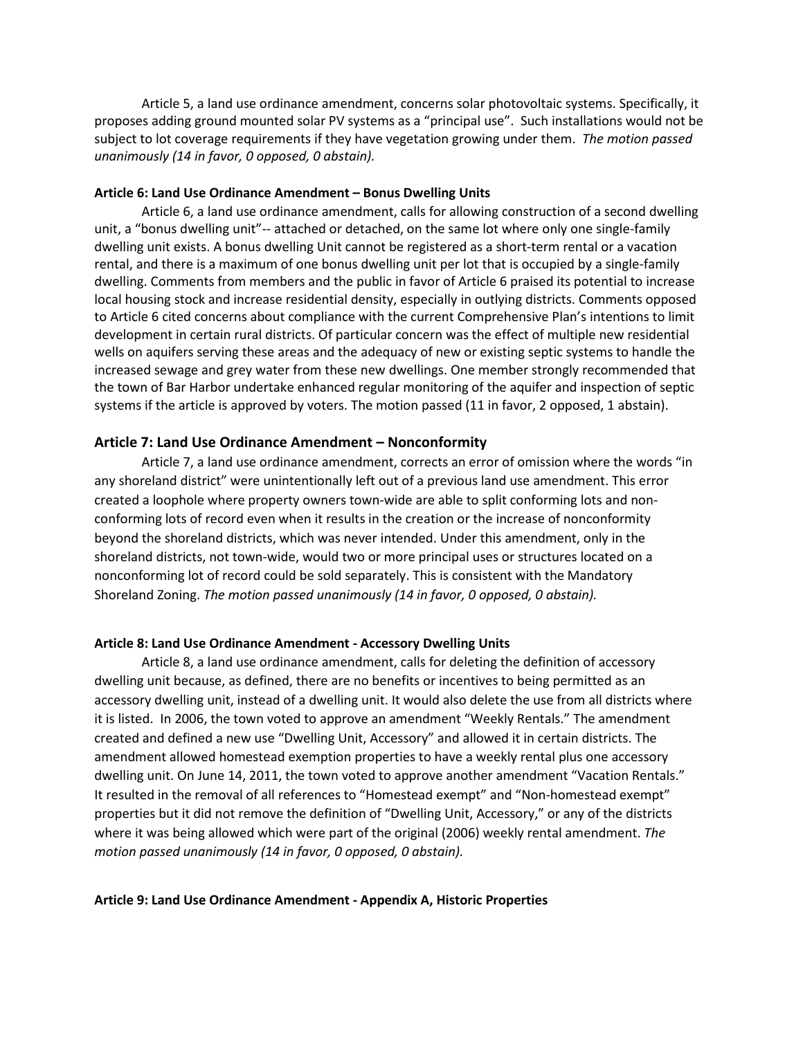Article 5, a land use ordinance amendment, concerns solar photovoltaic systems. Specifically, it proposes adding ground mounted solar PV systems as a "principal use". Such installations would not be subject to lot coverage requirements if they have vegetation growing under them. *The motion passed unanimously (14 in favor, 0 opposed, 0 abstain).* 

#### **Article 6: Land Use Ordinance Amendment – Bonus Dwelling Units**

Article 6, a land use ordinance amendment, calls for allowing construction of a second dwelling unit, a "bonus dwelling unit"-- attached or detached, on the same lot where only one single-family dwelling unit exists. A bonus dwelling Unit cannot be registered as a short-term rental or a vacation rental, and there is a maximum of one bonus dwelling unit per lot that is occupied by a single-family dwelling. Comments from members and the public in favor of Article 6 praised its potential to increase local housing stock and increase residential density, especially in outlying districts. Comments opposed to Article 6 cited concerns about compliance with the current Comprehensive Plan's intentions to limit development in certain rural districts. Of particular concern was the effect of multiple new residential wells on aquifers serving these areas and the adequacy of new or existing septic systems to handle the increased sewage and grey water from these new dwellings. One member strongly recommended that the town of Bar Harbor undertake enhanced regular monitoring of the aquifer and inspection of septic systems if the article is approved by voters. The motion passed (11 in favor, 2 opposed, 1 abstain).

## **Article 7: Land Use Ordinance Amendment – Nonconformity**

Article 7, a land use ordinance amendment, corrects an error of omission where the words "in any shoreland district" were unintentionally left out of a previous land use amendment. This error created a loophole where property owners town-wide are able to split conforming lots and nonconforming lots of record even when it results in the creation or the increase of nonconformity beyond the shoreland districts, which was never intended. Under this amendment, only in the shoreland districts, not town-wide, would two or more principal uses or structures located on a nonconforming lot of record could be sold separately. This is consistent with the Mandatory Shoreland Zoning. *The motion passed unanimously (14 in favor, 0 opposed, 0 abstain).* 

## **Article 8: Land Use Ordinance Amendment - Accessory Dwelling Units**

Article 8, a land use ordinance amendment, calls for deleting the definition of accessory dwelling unit because, as defined, there are no benefits or incentives to being permitted as an accessory dwelling unit, instead of a dwelling unit. It would also delete the use from all districts where it is listed. In 2006, the town voted to approve an amendment "Weekly Rentals." The amendment created and defined a new use "Dwelling Unit, Accessory" and allowed it in certain districts. The amendment allowed homestead exemption properties to have a weekly rental plus one accessory dwelling unit. On June 14, 2011, the town voted to approve another amendment "Vacation Rentals." It resulted in the removal of all references to "Homestead exempt" and "Non-homestead exempt" properties but it did not remove the definition of "Dwelling Unit, Accessory," or any of the districts where it was being allowed which were part of the original (2006) weekly rental amendment. *The motion passed unanimously (14 in favor, 0 opposed, 0 abstain).* 

## **Article 9: Land Use Ordinance Amendment - Appendix A, Historic Properties**